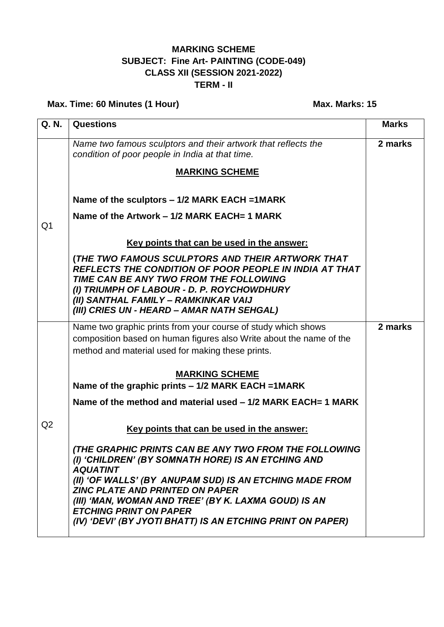## **MARKING SCHEME SUBJECT: Fine Art- PAINTING (CODE-049) CLASS XII (SESSION 2021-2022) TERM - II**

## **Max. Time: 60 Minutes (1 Hour) Max. Max. Marks: 15**

| Q. N.          | <b>Questions</b>                                                                                                                                                                                                                                                                                                                                                                           | <b>Marks</b> |
|----------------|--------------------------------------------------------------------------------------------------------------------------------------------------------------------------------------------------------------------------------------------------------------------------------------------------------------------------------------------------------------------------------------------|--------------|
|                | Name two famous sculptors and their artwork that reflects the<br>condition of poor people in India at that time.                                                                                                                                                                                                                                                                           | 2 marks      |
|                | <b>MARKING SCHEME</b>                                                                                                                                                                                                                                                                                                                                                                      |              |
|                | Name of the sculptors - 1/2 MARK EACH = 1MARK                                                                                                                                                                                                                                                                                                                                              |              |
| Q <sub>1</sub> | Name of the Artwork – 1/2 MARK EACH= 1 MARK                                                                                                                                                                                                                                                                                                                                                |              |
|                | Key points that can be used in the answer:                                                                                                                                                                                                                                                                                                                                                 |              |
|                | (THE TWO FAMOUS SCULPTORS AND THEIR ARTWORK THAT<br><b>REFLECTS THE CONDITION OF POOR PEOPLE IN INDIA AT THAT</b><br>TIME CAN BE ANY TWO FROM THE FOLLOWING<br>(I) TRIUMPH OF LABOUR - D. P. ROYCHOWDHURY<br>(II) SANTHAL FAMILY - RAMKINKAR VAIJ<br>(III) CRIES UN - HEARD - AMAR NATH SEHGAL)                                                                                            |              |
|                | Name two graphic prints from your course of study which shows                                                                                                                                                                                                                                                                                                                              | 2 marks      |
|                | composition based on human figures also Write about the name of the<br>method and material used for making these prints.                                                                                                                                                                                                                                                                   |              |
|                | <b>MARKING SCHEME</b><br>Name of the graphic prints – 1/2 MARK EACH = 1MARK                                                                                                                                                                                                                                                                                                                |              |
|                | Name of the method and material used - 1/2 MARK EACH= 1 MARK                                                                                                                                                                                                                                                                                                                               |              |
| Q2             | Key points that can be used in the answer:                                                                                                                                                                                                                                                                                                                                                 |              |
|                | (THE GRAPHIC PRINTS CAN BE ANY TWO FROM THE FOLLOWING<br>(I) 'CHILDREN' (BY SOMNATH HORE) IS AN ETCHING AND<br><b>AQUATINT</b><br>(II) 'OF WALLS' (BY ANUPAM SUD) IS AN ETCHING MADE FROM<br><b>ZINC PLATE AND PRINTED ON PAPER</b><br>(III) 'MAN, WOMAN AND TREE' (BY K. LAXMA GOUD) IS AN<br><b>ETCHING PRINT ON PAPER</b><br>(IV) 'DEVI' (BY JYOTI BHATT) IS AN ETCHING PRINT ON PAPER) |              |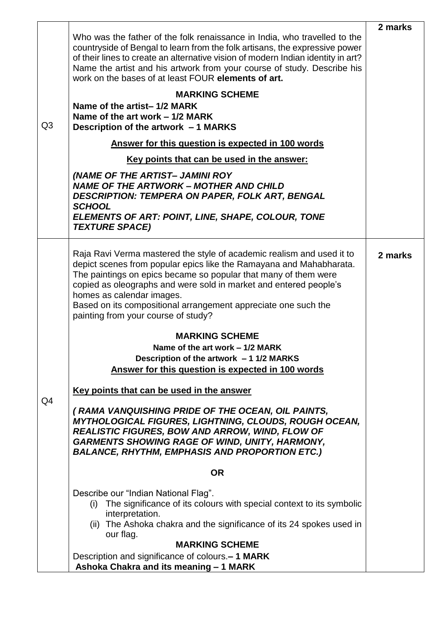| Q <sub>3</sub> | Who was the father of the folk renaissance in India, who travelled to the<br>countryside of Bengal to learn from the folk artisans, the expressive power<br>of their lines to create an alternative vision of modern Indian identity in art?<br>Name the artist and his artwork from your course of study. Describe his<br>work on the bases of at least FOUR elements of art.<br><b>MARKING SCHEME</b><br>Name of the artist-1/2 MARK<br>Name of the art work – 1/2 MARK<br>Description of the artwork - 1 MARKS<br>Answer for this question is expected in 100 words<br>Key points that can be used in the answer:<br>(NAME OF THE ARTIST- JAMINI ROY<br><b>NAME OF THE ARTWORK - MOTHER AND CHILD</b><br><b>DESCRIPTION: TEMPERA ON PAPER, FOLK ART, BENGAL</b><br><b>SCHOOL</b><br>ELEMENTS OF ART: POINT, LINE, SHAPE, COLOUR, TONE<br><b>TEXTURE SPACE)</b> | 2 marks |
|----------------|-------------------------------------------------------------------------------------------------------------------------------------------------------------------------------------------------------------------------------------------------------------------------------------------------------------------------------------------------------------------------------------------------------------------------------------------------------------------------------------------------------------------------------------------------------------------------------------------------------------------------------------------------------------------------------------------------------------------------------------------------------------------------------------------------------------------------------------------------------------------|---------|
|                | Raja Ravi Verma mastered the style of academic realism and used it to<br>depict scenes from popular epics like the Ramayana and Mahabharata.<br>The paintings on epics became so popular that many of them were<br>copied as oleographs and were sold in market and entered people's<br>homes as calendar images.<br>Based on its compositional arrangement appreciate one such the<br>painting from your course of study?<br><b>MARKING SCHEME</b><br>Name of the art work - 1/2 MARK                                                                                                                                                                                                                                                                                                                                                                            | 2 marks |
|                | Description of the artwork - 1 1/2 MARKS<br>Answer for this question is expected in 100 words                                                                                                                                                                                                                                                                                                                                                                                                                                                                                                                                                                                                                                                                                                                                                                     |         |
| Q4             | Key points that can be used in the answer                                                                                                                                                                                                                                                                                                                                                                                                                                                                                                                                                                                                                                                                                                                                                                                                                         |         |
|                | (RAMA VANQUISHING PRIDE OF THE OCEAN, OIL PAINTS,<br><b>MYTHOLOGICAL FIGURES, LIGHTNING, CLOUDS, ROUGH OCEAN,</b><br><b>REALISTIC FIGURES, BOW AND ARROW, WIND, FLOW OF</b><br><b>GARMENTS SHOWING RAGE OF WIND, UNITY, HARMONY,</b><br><b>BALANCE, RHYTHM, EMPHASIS AND PROPORTION ETC.)</b>                                                                                                                                                                                                                                                                                                                                                                                                                                                                                                                                                                     |         |
|                | <b>OR</b>                                                                                                                                                                                                                                                                                                                                                                                                                                                                                                                                                                                                                                                                                                                                                                                                                                                         |         |
|                | Describe our "Indian National Flag".<br>The significance of its colours with special context to its symbolic<br>(i)<br>interpretation.<br>(ii) The Ashoka chakra and the significance of its 24 spokes used in<br>our flag.<br><b>MARKING SCHEME</b>                                                                                                                                                                                                                                                                                                                                                                                                                                                                                                                                                                                                              |         |
|                | Description and significance of colours.- 1 MARK<br>Ashoka Chakra and its meaning - 1 MARK                                                                                                                                                                                                                                                                                                                                                                                                                                                                                                                                                                                                                                                                                                                                                                        |         |

T

 $\mathbf{r}$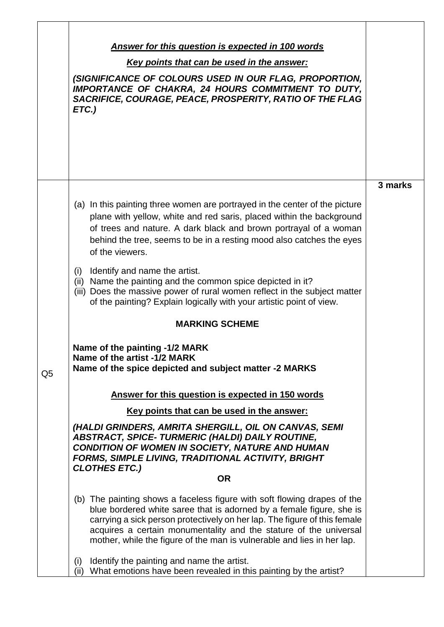|                | <b>Answer for this question is expected in 100 words</b><br>Key points that can be used in the answer:<br>(SIGNIFICANCE OF COLOURS USED IN OUR FLAG, PROPORTION,<br>IMPORTANCE OF CHAKRA, 24 HOURS COMMITMENT TO DUTY,<br>SACRIFICE, COURAGE, PEACE, PROSPERITY, RATIO OF THE FLAG<br>ETC.)                                                                                  |         |
|----------------|------------------------------------------------------------------------------------------------------------------------------------------------------------------------------------------------------------------------------------------------------------------------------------------------------------------------------------------------------------------------------|---------|
|                | (a) In this painting three women are portrayed in the center of the picture<br>plane with yellow, white and red saris, placed within the background<br>of trees and nature. A dark black and brown portrayal of a woman<br>behind the tree, seems to be in a resting mood also catches the eyes<br>of the viewers.                                                           | 3 marks |
|                | Identify and name the artist.<br>(i)<br>(ii) Name the painting and the common spice depicted in it?<br>(iii) Does the massive power of rural women reflect in the subject matter<br>of the painting? Explain logically with your artistic point of view.<br><b>MARKING SCHEME</b>                                                                                            |         |
| Q <sub>5</sub> | Name of the painting -1/2 MARK<br>Name of the artist -1/2 MARK<br>Name of the spice depicted and subject matter -2 MARKS<br>Answer for this question is expected in 150 words                                                                                                                                                                                                |         |
|                | Key points that can be used in the answer:<br>(HALDI GRINDERS, AMRITA SHERGILL, OIL ON CANVAS, SEMI<br><b>ABSTRACT, SPICE-TURMERIC (HALDI) DAILY ROUTINE,</b><br>CONDITION OF WOMEN IN SOCIETY, NATURE AND HUMAN<br><b>FORMS, SIMPLE LIVING, TRADITIONAL ACTIVITY, BRIGHT</b><br><b>CLOTHES ETC.)</b><br><b>OR</b>                                                           |         |
|                | (b) The painting shows a faceless figure with soft flowing drapes of the<br>blue bordered white saree that is adorned by a female figure, she is<br>carrying a sick person protectively on her lap. The figure of this female<br>acquires a certain monumentality and the stature of the universal<br>mother, while the figure of the man is vulnerable and lies in her lap. |         |
|                | Identify the painting and name the artist.<br>(i)<br>(ii) What emotions have been revealed in this painting by the artist?                                                                                                                                                                                                                                                   |         |